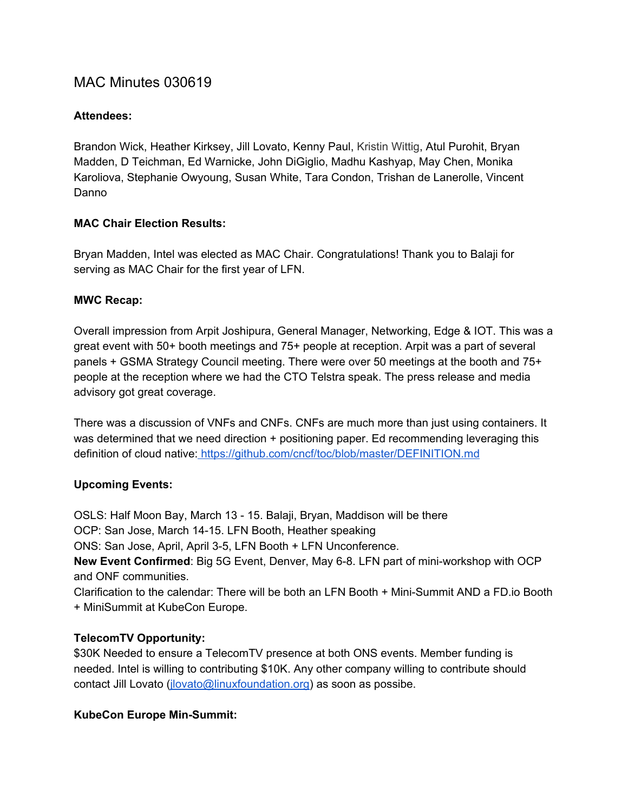# MAC Minutes 030619

## **Attendees:**

Brandon Wick, Heather Kirksey, Jill Lovato, Kenny Paul, Kristin Wittig, Atul Purohit, Bryan Madden, D Teichman, Ed Warnicke, John DiGiglio, Madhu Kashyap, May Chen, Monika Karoliova, Stephanie Owyoung, Susan White, Tara Condon, Trishan de Lanerolle, Vincent Danno

## **MAC Chair Election Results:**

Bryan Madden, Intel was elected as MAC Chair. Congratulations! Thank you to Balaji for serving as MAC Chair for the first year of LFN.

#### **MWC Recap:**

Overall impression from Arpit Joshipura, General Manager, Networking, Edge & IOT. This was a great event with 50+ booth meetings and 75+ people at reception. Arpit was a part of several panels + GSMA Strategy Council meeting. There were over 50 meetings at the booth and 75+ people at the reception where we had the CTO Telstra speak. The press release and media advisory got great coverage.

There was a discussion of VNFs and CNFs. CNFs are much more than just using containers. It was determined that we need direction + positioning paper. Ed recommending leveraging this definition of cloud native: <https://github.com/cncf/toc/blob/master/DEFINITION.md>

## **Upcoming Events:**

OSLS: Half Moon Bay, March 13 - 15. Balaji, Bryan, Maddison will be there OCP: San Jose, March 14-15. LFN Booth, Heather speaking ONS: San Jose, April, April 3-5, LFN Booth + LFN Unconference. **New Event Confirmed**: Big 5G Event, Denver, May 6-8. LFN part of mini-workshop with OCP and ONF communities. Clarification to the calendar: There will be both an LFN Booth + Mini-Summit AND a FD.io Booth

## **TelecomTV Opportunity:**

+ MiniSummit at KubeCon Europe.

\$30K Needed to ensure a TelecomTV presence at both ONS events. Member funding is needed. Intel is willing to contributing \$10K. Any other company willing to contribute should contact Jill Lovato [\(jlovato@linuxfoundation.org\)](mailto:jlovato@linuxfoundation.org) as soon as possibe.

#### **KubeCon Europe Min-Summit:**